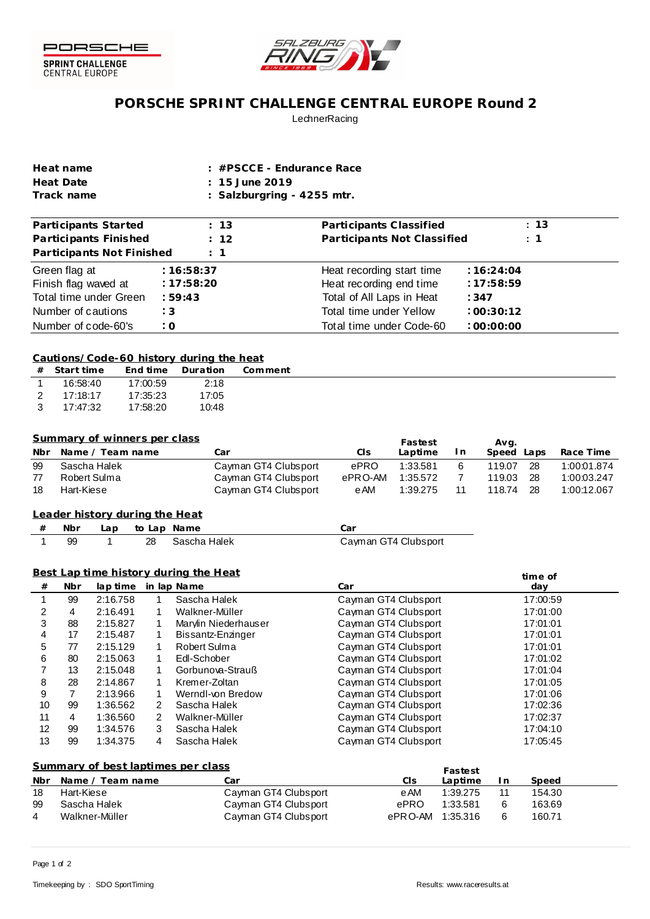



# **PORSCHE SPRINT CHALLENGE CENTRAL EUROPE Round 2 LechnerRacing**

| Heat name  | $\pm$ #PSCCE - Endurance Race |
|------------|-------------------------------|
| Heat Date  | $: 15$ June 2019              |
| Track name | : Salzburgring - 4255 mtr.    |

| Participants Started      | : 13       | Participants Classified     | : 13           |
|---------------------------|------------|-----------------------------|----------------|
| Participants Finished     | : 12       | Participants Not Classified | $\therefore$ 1 |
| Participants Not Finished | $\pm$ 1    |                             |                |
| Green flag at             | :16:58:37  | Heat recording start time   | :16:24:04      |
| Finish flag waved at      | : 17:58:20 | Heat recording end time     | :17:58:59      |
| Total time under Green    | :59:43     | Total of All Laps in Heat   | :347           |
| Number of cautions        | :3         | Total time under Yellow     | :00:30:12      |
| Number of code-60's       | : 0        | Total time under Code-60    | :00:00:00      |

#### **Cautions/Code-60 history during the heat**

| #             | - Start time |          | End time Duration | Comment |
|---------------|--------------|----------|-------------------|---------|
|               | 16:58:40     | 17:00:59 | 2:18              |         |
| $\mathcal{P}$ | 17:18:17     | 17:35:23 | 17:05             |         |
| $\mathcal{B}$ | 17:47:32     | 17:58:20 | 10:48             |         |

### **Summary of winners per class**

|     | <u>Sullinger villets bet class</u> |                      |         | Fastest  |     | Ava.          |             |
|-----|------------------------------------|----------------------|---------|----------|-----|---------------|-------------|
| Nbr | Name / Team name                   | Car                  | Cls     | Laptime  | I n | Speed<br>Laps | Race Time   |
| 99  | Sascha Halek                       | Cayman GT4 Clubsport | ePRO    | 1:33.581 |     | 28<br>119.07  | 1:00:01.874 |
|     | Robert Sulma                       | Cayman GT4 Clubsport | ePRO-AM | 1:35.572 |     | -28<br>119.03 | 1:00:03.247 |
| 18  | Hart-Kiese                         | Cayman GT4 Clubsport | e AM    | 1:39.275 |     | 28<br>118.74  | 1:00:12.067 |
|     |                                    |                      |         |          |     |               |             |

## **from Leader history dur ing the Heat**

| # | Nbr | Lap to Lap Name |                 | .:ar                 |
|---|-----|-----------------|-----------------|----------------------|
|   | 99  |                 | 28 Sascha Halek | Cayman GT4 Clubsport |

### **Best Lap time history during the Heat**

|    | <u>Best Lap time history during the Heat</u><br>time of |          |   |                      |                      |          |  |
|----|---------------------------------------------------------|----------|---|----------------------|----------------------|----------|--|
| #  | <b>Nbr</b>                                              | lap time |   | in lap Name          | Car                  | day      |  |
|    | 99                                                      | 2:16.758 |   | Sascha Halek         | Cayman GT4 Clubsport | 17:00:59 |  |
| 2  | 4                                                       | 2:16.491 |   | Walkner-Müller       | Cayman GT4 Clubsport | 17:01:00 |  |
| 3  | 88                                                      | 2:15.827 |   | Marvlin Niederhauser | Cayman GT4 Clubsport | 17:01:01 |  |
| 4  | 17                                                      | 2:15.487 |   | Bissantz-Enzinger    | Cayman GT4 Clubsport | 17:01:01 |  |
| 5  | 77                                                      | 2:15.129 |   | Robert Sulma         | Cayman GT4 Clubsport | 17:01:01 |  |
| 6  | 80                                                      | 2:15.063 |   | Edl-Schober          | Cayman GT4 Clubsport | 17:01:02 |  |
|    | 13                                                      | 2:15.048 |   | Gorbunova-Strauß     | Cayman GT4 Clubsport | 17:01:04 |  |
| 8  | 28                                                      | 2:14.867 |   | Kremer-Zoltan        | Cayman GT4 Clubsport | 17:01:05 |  |
| 9  |                                                         | 2:13.966 |   | Werndl-von Bredow    | Cayman GT4 Clubsport | 17:01:06 |  |
| 10 | 99                                                      | 1:36.562 | 2 | Sascha Halek         | Cayman GT4 Clubsport | 17:02:36 |  |
| 11 | 4                                                       | 1:36.560 | 2 | Walkner-Müller       | Cayman GT4 Clubsport | 17:02:37 |  |
| 12 | 99                                                      | 1:34.576 | 3 | Sascha Halek         | Cayman GT4 Clubsport | 17:04:10 |  |
| 13 | 99                                                      | 1:34.375 | 4 | Sascha Halek         | Cayman GT4 Clubsport | 17:05:45 |  |
|    |                                                         |          |   |                      |                      |          |  |

### **Summary of best laptimes per class**

|     | Summary of best laptimes per class |                      |          | Fastest  |   |        |
|-----|------------------------------------|----------------------|----------|----------|---|--------|
| Nbr | Name / Team name                   | Car                  | CIs      | Laptime  | n | Speed  |
| 18  | Hart-Kiese                         | Cayman GT4 Clubsport | e AM     | 1:39.275 |   | 154.30 |
| 99  | Sascha Halek                       | Cayman GT4 Clubsport | ePRO     | 1:33.581 |   | 163.69 |
| 4   | Walkner-Müller                     | Cayman GT4 Clubsport | ePR O-AM | 1:35.316 |   | 160.71 |